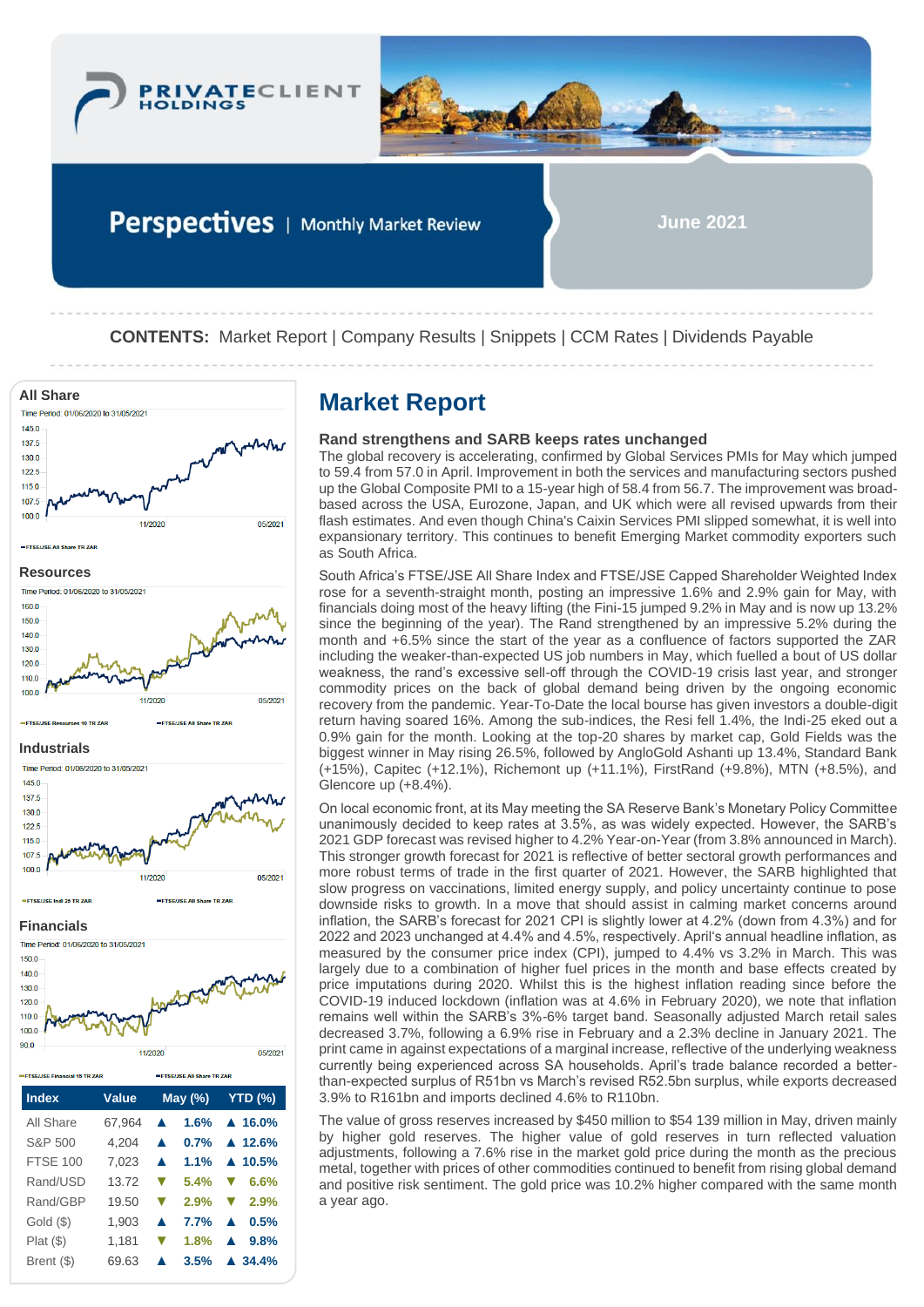

Perspectives | Monthly Market Review

**June 2021**

**CONTENTS:** Market Report | Company Results | Snippets | CCM Rates | Dividends Payable



Gold (\$) 1,903 **▲ 7.7% ▲ 0.5%** Plat (\$) 1,181 **▼ 1.8% ▲ 9.8%** Brent (\$) 69.63 **▲ 3.5% ▲ 34.4%**

# **Rand strengthens and SARB keeps rates unchanged**

The global recovery is accelerating, confirmed by Global Services PMIs for May which jumped to 59.4 from 57.0 in April. Improvement in both the services and manufacturing sectors pushed up the Global Composite PMI to a 15-year high of 58.4 from 56.7. The improvement was broadbased across the USA, Eurozone, Japan, and UK which were all revised upwards from their flash estimates. And even though China's Caixin Services PMI slipped somewhat, it is well into expansionary territory. This continues to benefit Emerging Market commodity exporters such as South Africa.

South Africa's FTSE/JSE All Share Index and FTSE/JSE Capped Shareholder Weighted Index rose for a seventh-straight month, posting an impressive 1.6% and 2.9% gain for May, with financials doing most of the heavy lifting (the Fini-15 jumped 9.2% in May and is now up 13.2% since the beginning of the year). The Rand strengthened by an impressive 5.2% during the month and +6.5% since the start of the year as a confluence of factors supported the ZAR including the weaker-than-expected US job numbers in May, which fuelled a bout of US dollar weakness, the rand's excessive sell-off through the COVID-19 crisis last year, and stronger commodity prices on the back of global demand being driven by the ongoing economic recovery from the pandemic. Year-To-Date the local bourse has given investors a double-digit return having soared 16%. Among the sub-indices, the Resi fell 1.4%, the Indi-25 eked out a 0.9% gain for the month. Looking at the top-20 shares by market cap, Gold Fields was the biggest winner in May rising 26.5%, followed by AngloGold Ashanti up 13.4%, Standard Bank (+15%), Capitec (+12.1%), Richemont up (+11.1%), FirstRand (+9.8%), MTN (+8.5%), and Glencore up (+8.4%).

On local economic front, at its May meeting the SA Reserve Bank's Monetary Policy Committee unanimously decided to keep rates at 3.5%, as was widely expected. However, the SARB's 2021 GDP forecast was revised higher to 4.2% Year-on-Year (from 3.8% announced in March). This stronger growth forecast for 2021 is reflective of better sectoral growth performances and more robust terms of trade in the first quarter of 2021. However, the SARB highlighted that slow progress on vaccinations, limited energy supply, and policy uncertainty continue to pose downside risks to growth. In a move that should assist in calming market concerns around inflation, the SARB's forecast for 2021 CPI is slightly lower at 4.2% (down from 4.3%) and for 2022 and 2023 unchanged at 4.4% and 4.5%, respectively. April's annual headline inflation, as measured by the consumer price index (CPI), jumped to 4.4% vs 3.2% in March. This was largely due to a combination of higher fuel prices in the month and base effects created by price imputations during 2020. Whilst this is the highest inflation reading since before the COVID-19 induced lockdown (inflation was at 4.6% in February 2020), we note that inflation remains well within the SARB's 3%-6% target band. Seasonally adjusted March retail sales decreased 3.7%, following a 6.9% rise in February and a 2.3% decline in January 2021. The print came in against expectations of a marginal increase, reflective of the underlying weakness currently being experienced across SA households. April's trade balance recorded a betterthan-expected surplus of R51bn vs March's revised R52.5bn surplus, while exports decreased 3.9% to R161bn and imports declined 4.6% to R110bn.

The value of gross reserves increased by \$450 million to \$54 139 million in May, driven mainly by higher gold reserves. The higher value of gold reserves in turn reflected valuation adjustments, following a 7.6% rise in the market gold price during the month as the precious metal, together with prices of other commodities continued to benefit from rising global demand and positive risk sentiment. The gold price was 10.2% higher compared with the same month a year ago.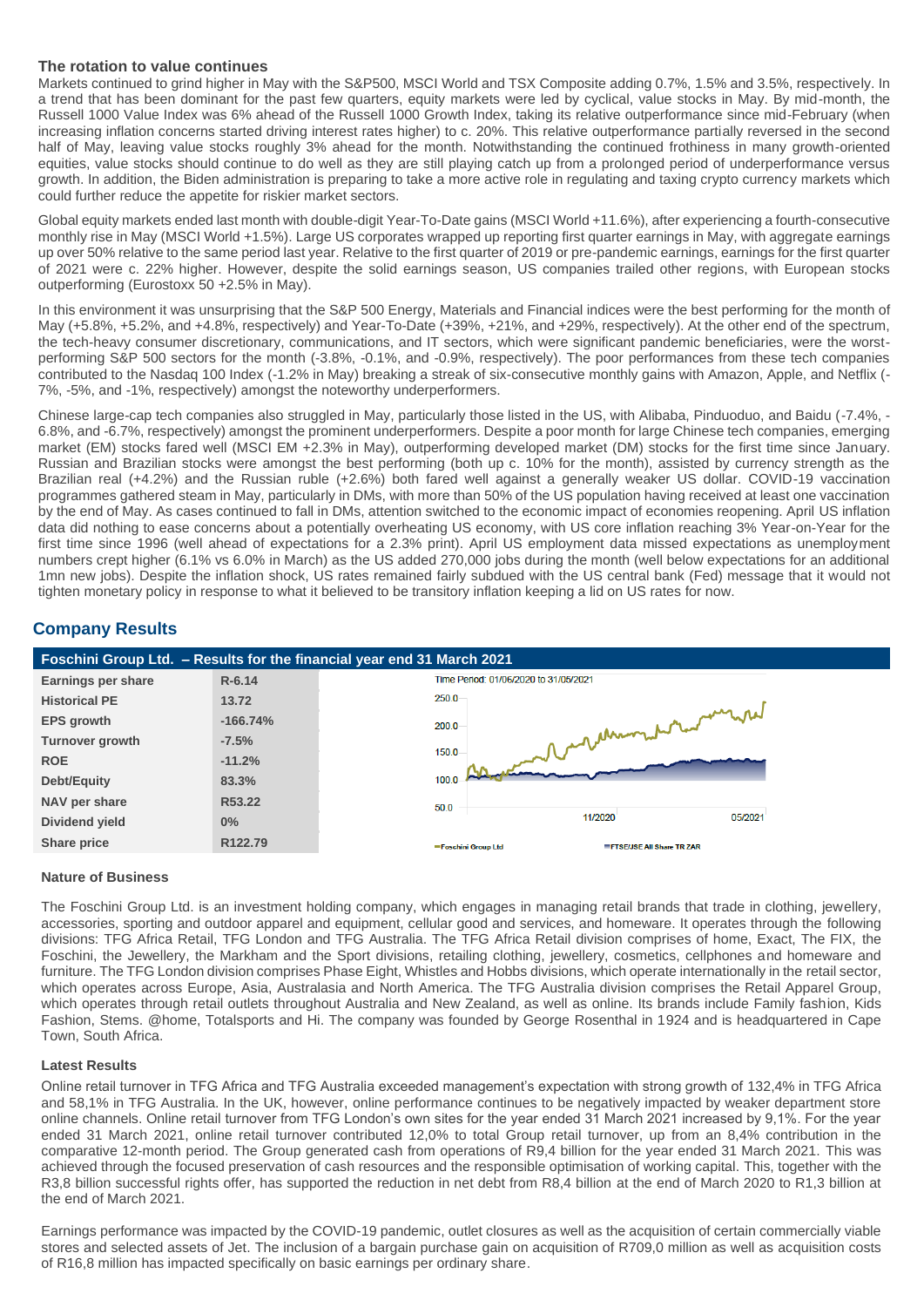## **The rotation to value continues**

Markets continued to grind higher in May with the S&P500, MSCI World and TSX Composite adding 0.7%, 1.5% and 3.5%, respectively. In a trend that has been dominant for the past few quarters, equity markets were led by cyclical, value stocks in May. By mid-month, the Russell 1000 Value Index was 6% ahead of the Russell 1000 Growth Index, taking its relative outperformance since mid-February (when increasing inflation concerns started driving interest rates higher) to c. 20%. This relative outperformance partially reversed in the second half of May, leaving value stocks roughly 3% ahead for the month. Notwithstanding the continued frothiness in many growth-oriented equities, value stocks should continue to do well as they are still playing catch up from a prolonged period of underperformance versus growth. In addition, the Biden administration is preparing to take a more active role in regulating and taxing crypto currency markets which could further reduce the appetite for riskier market sectors.

Global equity markets ended last month with double-digit Year-To-Date gains (MSCI World +11.6%), after experiencing a fourth-consecutive monthly rise in May (MSCI World +1.5%). Large US corporates wrapped up reporting first quarter earnings in May, with aggregate earnings up over 50% relative to the same period last year. Relative to the first quarter of 2019 or pre-pandemic earnings, earnings for the first quarter of 2021 were c. 22% higher. However, despite the solid earnings season, US companies trailed other regions, with European stocks outperforming (Eurostoxx 50 +2.5% in May).

In this environment it was unsurprising that the S&P 500 Energy, Materials and Financial indices were the best performing for the month of May (+5.8%, +5.2%, and +4.8%, respectively) and Year-To-Date (+39%, +21%, and +29%, respectively). At the other end of the spectrum, the tech-heavy consumer discretionary, communications, and IT sectors, which were significant pandemic beneficiaries, were the worstperforming S&P 500 sectors for the month (-3.8%, -0.1%, and -0.9%, respectively). The poor performances from these tech companies contributed to the Nasdaq 100 Index (-1.2% in May) breaking a streak of six-consecutive monthly gains with Amazon, Apple, and Netflix (- 7%, -5%, and -1%, respectively) amongst the noteworthy underperformers.

Chinese large-cap tech companies also struggled in May, particularly those listed in the US, with Alibaba, Pinduoduo, and Baidu (-7.4%, - 6.8%, and -6.7%, respectively) amongst the prominent underperformers. Despite a poor month for large Chinese tech companies, emerging market (EM) stocks fared well (MSCI EM +2.3% in May), outperforming developed market (DM) stocks for the first time since January. Russian and Brazilian stocks were amongst the best performing (both up c. 10% for the month), assisted by currency strength as the Brazilian real (+4.2%) and the Russian ruble (+2.6%) both fared well against a generally weaker US dollar. COVID-19 vaccination programmes gathered steam in May, particularly in DMs, with more than 50% of the US population having received at least one vaccination by the end of May. As cases continued to fall in DMs, attention switched to the economic impact of economies reopening. April US inflation data did nothing to ease concerns about a potentially overheating US economy, with US core inflation reaching 3% Year-on-Year for the first time since 1996 (well ahead of expectations for a 2.3% print). April US employment data missed expectations as unemployment numbers crept higher (6.1% vs 6.0% in March) as the US added 270,000 jobs during the month (well below expectations for an additional 1mn new jobs). Despite the inflation shock, US rates remained fairly subdued with the US central bank (Fed) message that it would not tighten monetary policy in response to what it believed to be transitory inflation keeping a lid on US rates for now.

# **Company Results**



# **Nature of Business**

The Foschini Group Ltd. is an investment holding company, which engages in managing retail brands that trade in clothing, jewellery, accessories, sporting and outdoor apparel and equipment, cellular good and services, and homeware. It operates through the following divisions: TFG Africa Retail, TFG London and TFG Australia. The TFG Africa Retail division comprises of home, Exact, The FIX, the Foschini, the Jewellery, the Markham and the Sport divisions, retailing clothing, jewellery, cosmetics, cellphones and homeware and furniture. The TFG London division comprises Phase Eight, Whistles and Hobbs divisions, which operate internationally in the retail sector, which operates across Europe, Asia, Australasia and North America. The TFG Australia division comprises the Retail Apparel Group, which operates through retail outlets throughout Australia and New Zealand, as well as online. Its brands include Family fashion, Kids Fashion, Stems. @home, Totalsports and Hi. The company was founded by George Rosenthal in 1924 and is headquartered in Cape Town, South Africa.

## **Latest Results**

Online retail turnover in TFG Africa and TFG Australia exceeded management's expectation with strong growth of 132,4% in TFG Africa and 58,1% in TFG Australia. In the UK, however, online performance continues to be negatively impacted by weaker department store online channels. Online retail turnover from TFG London's own sites for the year ended 31 March 2021 increased by 9,1%. For the year ended 31 March 2021, online retail turnover contributed 12,0% to total Group retail turnover, up from an 8,4% contribution in the comparative 12-month period. The Group generated cash from operations of R9,4 billion for the year ended 31 March 2021. This was achieved through the focused preservation of cash resources and the responsible optimisation of working capital. This, together with the R3,8 billion successful rights offer, has supported the reduction in net debt from R8,4 billion at the end of March 2020 to R1,3 billion at the end of March 2021.

Earnings performance was impacted by the COVID-19 pandemic, outlet closures as well as the acquisition of certain commercially viable stores and selected assets of Jet. The inclusion of a bargain purchase gain on acquisition of R709,0 million as well as acquisition costs of R16,8 million has impacted specifically on basic earnings per ordinary share.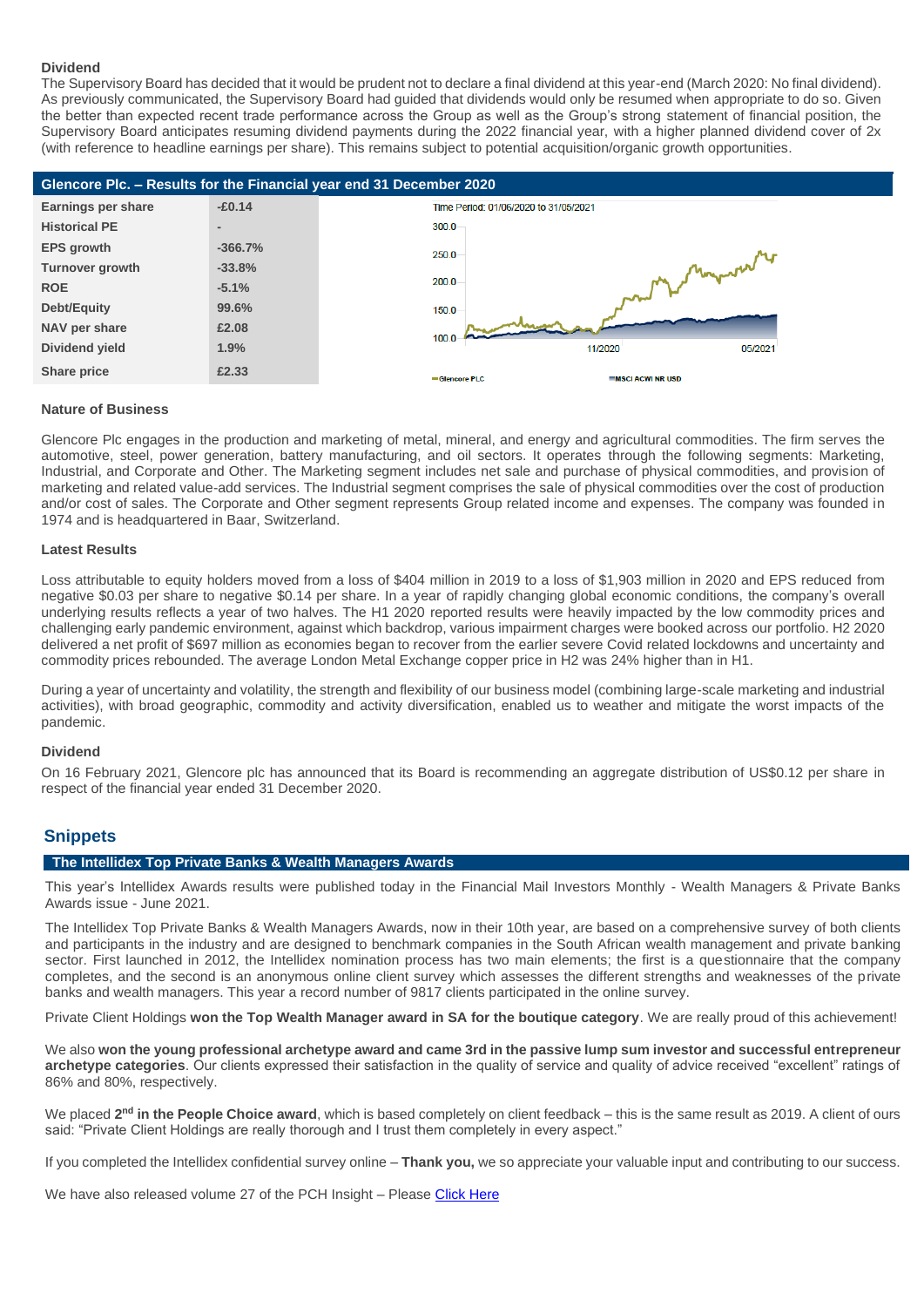#### **Dividend**

The Supervisory Board has decided that it would be prudent not to declare a final dividend at this year-end (March 2020: No final dividend). As previously communicated, the Supervisory Board had guided that dividends would only be resumed when appropriate to do so. Given the better than expected recent trade performance across the Group as well as the Group's strong statement of financial position, the Supervisory Board anticipates resuming dividend payments during the 2022 financial year, with a higher planned dividend cover of 2x (with reference to headline earnings per share). This remains subject to potential acquisition/organic growth opportunities.



#### **Nature of Business**

Glencore Plc engages in the production and marketing of metal, mineral, and energy and agricultural commodities. The firm serves the automotive, steel, power generation, battery manufacturing, and oil sectors. It operates through the following segments: Marketing, Industrial, and Corporate and Other. The Marketing segment includes net sale and purchase of physical commodities, and provision of marketing and related value-add services. The Industrial segment comprises the sale of physical commodities over the cost of production and/or cost of sales. The Corporate and Other segment represents Group related income and expenses. The company was founded in 1974 and is headquartered in Baar, Switzerland.

## **Latest Results**

Loss attributable to equity holders moved from a loss of \$404 million in 2019 to a loss of \$1,903 million in 2020 and EPS reduced from negative \$0.03 per share to negative \$0.14 per share. In a year of rapidly changing global economic conditions, the company's overall underlying results reflects a year of two halves. The H1 2020 reported results were heavily impacted by the low commodity prices and challenging early pandemic environment, against which backdrop, various impairment charges were booked across our portfolio. H2 2020 delivered a net profit of \$697 million as economies began to recover from the earlier severe Covid related lockdowns and uncertainty and commodity prices rebounded. The average London Metal Exchange copper price in H2 was 24% higher than in H1.

During a year of uncertainty and volatility, the strength and flexibility of our business model (combining large-scale marketing and industrial activities), with broad geographic, commodity and activity diversification, enabled us to weather and mitigate the worst impacts of the pandemic.

### **Dividend**

On 16 February 2021, Glencore plc has announced that its Board is recommending an aggregate distribution of US\$0.12 per share in respect of the financial year ended 31 December 2020.

# **Snippets**

### **The Intellidex Top Private Banks & Wealth Managers Awards**

This year's Intellidex Awards results were published today in the Financial Mail Investors Monthly - Wealth Managers & Private Banks Awards issue - June 2021.

The Intellidex Top Private Banks & Wealth Managers Awards, now in their 10th year, are based on a comprehensive survey of both clients and participants in the industry and are designed to benchmark companies in the South African wealth management and private banking sector. First launched in 2012, the Intellidex nomination process has two main elements; the first is a questionnaire that the company completes, and the second is an anonymous online client survey which assesses the different strengths and weaknesses of the private banks and wealth managers. This year a record number of 9817 clients participated in the online survey.

Private Client Holdings **won the Top Wealth Manager award in SA for the boutique category**. We are really proud of this achievement!

We also **won the young professional archetype award and came 3rd in the passive lump sum investor and successful entrepreneur**  archetype categories. Our clients expressed their satisfaction in the quality of service and quality of advice received "excellent" ratings of 86% and 80%, respectively.

We placed 2<sup>nd</sup> in the People Choice award, which is based completely on client feedback – this is the same result as 2019. A client of ours said: "Private Client Holdings are really thorough and I trust them completely in every aspect."

If you completed the Intellidex confidential survey online – **Thank you,** we so appreciate your valuable input and contributing to our success.

We have also released volume 27 of the PCH Insight – Please [Click Here](https://privateclientholdings.sharepoint.com/sites/Portfolios/Shared%20Documents/PCP/Newsletter/2021/June/PCH_Insight-27-updated%20Final.pdf)